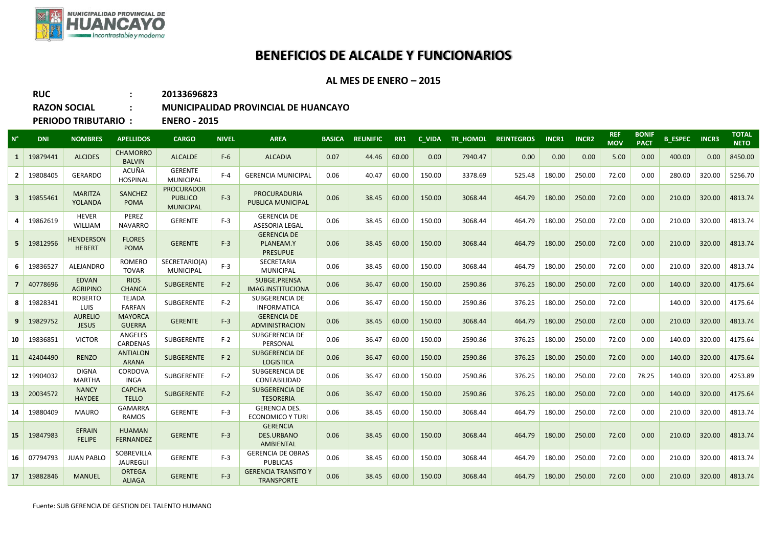

## **BENEFICIOS DE ALCALDE Y FUNCIONARIOS**

## **AL MES DE ENERO – 2015**

| <b>RUC</b>                 | 20133696823         |
|----------------------------|---------------------|
| <b>RAZON SOCIAL</b>        | <b>MUNICIPALID</b>  |
| <b>PERIODO TRIBUTARIO:</b> | <b>ENERO - 2015</b> |

## **RAZON SOCIAL : MUNICIPALIDAD PROVINCIAL DE HUANCAYO**

| $N^{\circ}$             | <b>DNI</b> | <b>NOMBRES</b>                    | <b>APELLIDOS</b>                  | <b>CARGO</b>                                            | <b>NIVEL</b> | <b>AREA</b>                                              | <b>BASICA</b> | <b>REUNIFIC</b> | RR1   | C VIDA |         | TR HOMOL REINTEGROS | <b>INCR1</b> | <b>INCR2</b> | <b>REF</b><br><b>MOV</b> | <b>BONIF</b><br><b>PACT</b> | <b>B_ESPEC INCR3</b> |        | <b>TOTAL</b><br><b>NETO</b> |
|-------------------------|------------|-----------------------------------|-----------------------------------|---------------------------------------------------------|--------------|----------------------------------------------------------|---------------|-----------------|-------|--------|---------|---------------------|--------------|--------------|--------------------------|-----------------------------|----------------------|--------|-----------------------------|
| -1                      | 19879441   | <b>ALCIDES</b>                    | <b>CHAMORRO</b><br><b>BALVIN</b>  | <b>ALCALDE</b>                                          | $F-6$        | <b>ALCADIA</b>                                           | 0.07          | 44.46           | 60.00 | 0.00   | 7940.47 | 0.00                | 0.00         | 0.00         | 5.00                     | 0.00                        | 400.00               | 0.00   | 8450.00                     |
| $\overline{2}$          | 19808405   | <b>GERARDO</b>                    | ACUÑA<br><b>HOSPINAL</b>          | <b>GERENTE</b><br><b>MUNICIPAL</b>                      | $F-4$        | <b>GERENCIA MUNICIPAL</b>                                | 0.06          | 40.47           | 60.00 | 150.00 | 3378.69 | 525.48              | 180.00       | 250.00       | 72.00                    | 0.00                        | 280.00               | 320.00 | 5256.70                     |
| $\overline{\mathbf{3}}$ | 19855461   | <b>MARITZA</b><br>YOLANDA         | <b>SANCHEZ</b><br><b>POMA</b>     | <b>PROCURADOR</b><br><b>PUBLICO</b><br><b>MUNICIPAL</b> | $F-3$        | <b>PROCURADURIA</b><br>PUBLICA MUNICIPAL                 | 0.06          | 38.45           | 60.00 | 150.00 | 3068.44 | 464.79              | 180.00       | 250.00       | 72.00                    | 0.00                        | 210.00               | 320.00 | 4813.74                     |
| Δ                       | 19862619   | <b>HEVER</b><br>WILLIAM           | PEREZ<br><b>NAVARRO</b>           | <b>GERENTE</b>                                          | $F-3$        | <b>GERENCIA DE</b><br><b>ASESORIA LEGAL</b>              | 0.06          | 38.45           | 60.00 | 150.00 | 3068.44 | 464.79              | 180.00       | 250.00       | 72.00                    | 0.00                        | 210.00               | 320.00 | 4813.74                     |
| -5                      | 19812956   | <b>HENDERSON</b><br><b>HEBERT</b> | <b>FLORES</b><br><b>POMA</b>      | <b>GERENTE</b>                                          | $F-3$        | <b>GERENCIA DE</b><br>PLANEAM.Y<br><b>PRESUPUE</b>       | 0.06          | 38.45           | 60.00 | 150.00 | 3068.44 | 464.79              | 180.00       | 250.00       | 72.00                    | 0.00                        | 210.00               | 320.00 | 4813.74                     |
| 6                       | 19836527   | ALEJANDRO                         | <b>ROMERO</b><br><b>TOVAR</b>     | SECRETARIO(A)<br><b>MUNICIPAL</b>                       | $F-3$        | <b>SECRETARIA</b><br><b>MUNICIPAL</b>                    | 0.06          | 38.45           | 60.00 | 150.00 | 3068.44 | 464.79              | 180.00       | 250.00       | 72.00                    | 0.00                        | 210.00               | 320.00 | 4813.74                     |
|                         | 40778696   | <b>EDVAN</b><br><b>AGRIPINO</b>   | <b>RIOS</b><br><b>CHANCA</b>      | <b>SUBGERENTE</b>                                       | $F-2$        | SUBGE.PRENSA<br>IMAG.INSTITUCIONA                        | 0.06          | 36.47           | 60.00 | 150.00 | 2590.86 | 376.25              | 180.00       | 250.00       | 72.00                    | 0.00                        | 140.00               | 320.00 | 4175.64                     |
| -8                      | 19828341   | <b>ROBERTO</b><br>LUIS            | <b>TEJADA</b><br><b>FARFAN</b>    | SUBGERENTE                                              | $F-2$        | SUBGERENCIA DE<br><b>INFORMATICA</b>                     | 0.06          | 36.47           | 60.00 | 150.00 | 2590.86 | 376.25              | 180.00       | 250.00       | 72.00                    |                             | 140.00               | 320.00 | 4175.64                     |
| 9                       | 19829752   | <b>AURELIO</b><br><b>JESUS</b>    | <b>MAYORCA</b><br><b>GUERRA</b>   | <b>GERENTE</b>                                          | $F-3$        | <b>GERENCIA DE</b><br><b>ADMINISTRACION</b>              | 0.06          | 38.45           | 60.00 | 150.00 | 3068.44 | 464.79              | 180.00       | 250.00       | 72.00                    | 0.00                        | 210.00               | 320.00 | 4813.74                     |
| 10                      | 19836851   | <b>VICTOR</b>                     | ANGELES<br>CARDENAS               | SUBGERENTE                                              | $F-2$        | SUBGERENCIA DE<br>PERSONAL                               | 0.06          | 36.47           | 60.00 | 150.00 | 2590.86 | 376.25              | 180.00       | 250.00       | 72.00                    | 0.00                        | 140.00               | 320.00 | 4175.64                     |
| 11                      | 42404490   | <b>RENZO</b>                      | <b>ANTIALON</b><br><b>ARANA</b>   | <b>SUBGERENTE</b>                                       | $F-2$        | <b>SUBGERENCIA DE</b><br><b>LOGISTICA</b>                | 0.06          | 36.47           | 60.00 | 150.00 | 2590.86 | 376.25              | 180.00       | 250.00       | 72.00                    | 0.00                        | 140.00               | 320.00 | 4175.64                     |
| 12                      | 19904032   | <b>DIGNA</b><br><b>MARTHA</b>     | CORDOVA<br><b>INGA</b>            | SUBGERENTE                                              | $F-2$        | SUBGERENCIA DE<br>CONTABILIDAD                           | 0.06          | 36.47           | 60.00 | 150.00 | 2590.86 | 376.25              | 180.00       | 250.00       | 72.00                    | 78.25                       | 140.00               | 320.00 | 4253.89                     |
| 13                      | 20034572   | <b>NANCY</b><br><b>HAYDEE</b>     | <b>CAPCHA</b><br><b>TELLO</b>     | <b>SUBGERENTE</b>                                       | $F-2$        | <b>SUBGERENCIA DE</b><br><b>TESORERIA</b>                | 0.06          | 36.47           | 60.00 | 150.00 | 2590.86 | 376.25              | 180.00       | 250.00       | 72.00                    | 0.00                        | 140.00               | 320.00 | 4175.64                     |
| 14                      | 19880409   | <b>MAURO</b>                      | <b>GAMARRA</b><br>RAMOS           | <b>GERENTE</b>                                          | $F-3$        | <b>GERENCIA DES.</b><br><b>ECONOMICO Y TURI</b>          | 0.06          | 38.45           | 60.00 | 150.00 | 3068.44 | 464.79              | 180.00       | 250.00       | 72.00                    | 0.00                        | 210.00               | 320.00 | 4813.74                     |
| 15                      | 19847983   | <b>EFRAIN</b><br><b>FELIPE</b>    | <b>HUAMAN</b><br><b>FERNANDEZ</b> | <b>GERENTE</b>                                          | $F-3$        | <b>GERENCIA</b><br><b>DES.URBANO</b><br><b>AMBIENTAL</b> | 0.06          | 38.45           | 60.00 | 150.00 | 3068.44 | 464.79              | 180.00       | 250.00       | 72.00                    | 0.00                        | 210.00               | 320.00 | 4813.74                     |
| 16                      | 07794793   | <b>JUAN PABLO</b>                 | SOBREVILLA<br>JAUREGUI            | <b>GERENTE</b>                                          | $F-3$        | <b>GERENCIA DE OBRAS</b><br><b>PUBLICAS</b>              | 0.06          | 38.45           | 60.00 | 150.00 | 3068.44 | 464.79              | 180.00       | 250.00       | 72.00                    | 0.00                        | 210.00               | 320.00 | 4813.74                     |
| 17                      | 19882846   | <b>MANUEL</b>                     | <b>ORTEGA</b><br><b>ALIAGA</b>    | <b>GERENTE</b>                                          | $F-3$        | <b>GERENCIA TRANSITO Y</b><br><b>TRANSPORTE</b>          | 0.06          | 38.45           | 60.00 | 150.00 | 3068.44 | 464.79              | 180.00       | 250.00       | 72.00                    | 0.00                        | 210.00               | 320.00 | 4813.74                     |